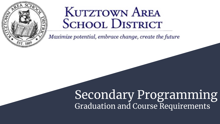

# **KUTZTOWN AREA SCHOOL DISTRICT**

Maximize potential, embrace change, create the future

# Secondary Programming Graduation and Course Requirements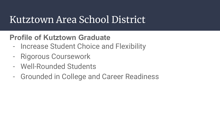# Kutztown Area School District

### **Profile of Kutztown Graduate**

- Increase Student Choice and Flexibility
- Rigorous Coursework
- Well-Rounded Students
- Grounded in College and Career Readiness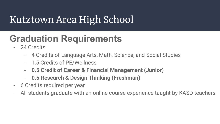# **Graduation Requirements**

- 24 Credits
	- 4 Credits of Language Arts, Math, Science, and Social Studies
	- 1.5 Credits of PE/Wellness
	- **- 0.5 Credit of Career & Financial Management (Junior)**
	- **- 0.5 Research & Design Thinking (Freshman)**
- 6 Credits required per year
- All students graduate with an online course experience taught by KASD teachers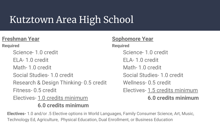### **Freshman Year**

**Required**

Science- 1.0 credit ELA- 1.0 credit Math- 1.0 credit Social Studies- 1.0 credit Research & Design Thinking- 0.5 credit Fitness- 0.5 credit Electives- 1.0 credits minimum  **6.0 credits minimum**

#### **Sophomore Year**

**Required** Science- 1.0 credit ELA- 1.0 credit Math- 1.0 credit Social Studies- 1.0 credit Wellness- 0.5 credit Electives- 1.5 credits minimum  **6.0 credits minimum**

**Electives-** 1.0 and/or .5 Elective options in World Languages, Family Consumer Science, Art, Music, Technology Ed, Agriculture, Physical Education, Dual Enrollment, or Business Education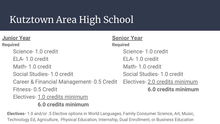#### **Junior Year Required** Science- 1.0 credit ELA- 1.0 credit Math- 1.0 credit Social Studies- 1.0 credit Career & Financial Management- 0.5 Credit Fitness- 0.5 Credit Electives- 1.0 credits minimum **Senior Year Required** Science- 1.0 credit ELA- 1.0 credit Math- 1.0 credit Social Studies- 1.0 credit Electives- 2.0 credits minimum  **6.0 credits minimum**

 **6.0 credits minimum**

**Electives-** 1.0 and/or .5 Elective options in World Languages, Family Consumer Science, Art, Music, Technology Ed, Agriculture, Physical Education, Internship, Dual Enrollment, or Business Education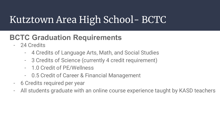# Kutztown Area High School- BCTC

### **BCTC Graduation Requirements**

- 24 Credits
	- 4 Credits of Language Arts, Math, and Social Studies
	- 3 Credits of Science (currently 4 credit requirement)
	- 1.0 Credit of PE/Wellness
	- 0.5 Credit of Career & Financial Management
- 6 Credits required per year
- All students graduate with an online course experience taught by KASD teachers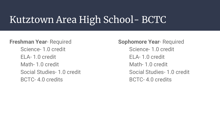# Kutztown Area High School- BCTC

#### **Freshman Year**- Required

Science- 1.0 credit ELA- 1.0 credit Math- 1.0 credit Social Studies- 1.0 credit BCTC- 4.0 credits

**Sophomore Year**- Required Science- 1.0 credit ELA- 1.0 credit Math- 1.0 credit Social Studies- 1.0 credit BCTC- 4.0 credits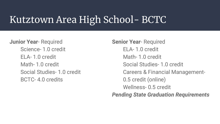# Kutztown Area High School- BCTC

**Junior Year**- Required Science- 1.0 credit ELA- 1.0 credit Math- 1.0 credit Social Studies- 1.0 credit BCTC- 4.0 credits

**Senior Year**- Required ELA- 1.0 credit Math- 1.0 credit Social Studies- 1.0 credit Careers & Financial Management-0.5 credit (online) Wellness- 0.5 credit *Pending State Graduation Requirements*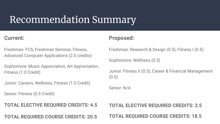# Recommendation Summary

#### **Current:**

Freshman: FCS, Freshman Seminar, Fitness, Advanced Computer Applications (2.0 credits)

Sophomore: Music Appreciation, Art Appreciation, Fitness (1.0 Credit)

Junior: Careers, Wellness, Fitness (1.0 Credit)

Senior: Fitness (0.5 Credit)

**TOTAL ELECTIVE REQUIRED CREDITS: 4.5**

**TOTAL REQUIRED COURSE CREDITS: 20.5**

### **Proposed:**

Freshman: Research & Design (0.5), Fitness I (0.5)

Sophomore: Wellness (0.5)

Junior: Fitness II (0.5), Career & Financial Management (0.5)

Senior: N/A

**TOTAL ELECTIVE REQUIRED CREDITS: 2.5 TOTAL REQUIRED COURSE CREDITS: 18.5**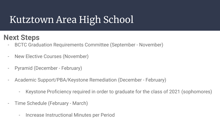### **Next Steps**

- BCTC Graduation Requirements Committee (September November)
- New Elective Courses (November)
- Pyramid (December February)
- Academic Support/PBA/Keystone Remediation (December February)
	- Keystone Proficiency required in order to graduate for the class of 2021 (sophomores)
- Time Schedule (February March)
	- Increase Instructional Minutes per Period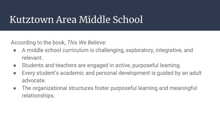# Kutztown Area Middle School

According to the book, *This We Believe*:

- A middle school curriculum is challenging, exploratory, integrative, and relevant.
- Students and teachers are engaged in active, purposeful learning.
- Every student's academic and personal development is quided by an adult advocate.
- The organizational structures foster purposeful learning and meaningful relationships.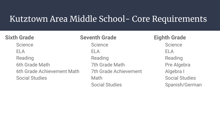## Kutztown Area Middle School- Core Requirements

#### **Sixth Grade**

**Science** ELA Reading 6th Grade Math 6th Grade Achievement Math Social Studies

#### **Seventh Grade**

**Science** ELA Reading 7th Grade Math 7th Grade Achievement Math Social Studies

**Eighth Grade Science** ELA Reading Pre Algebra Algebra I Social Studies Spanish/German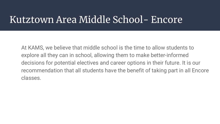# Kutztown Area Middle School- Encore

At KAMS, we believe that middle school is the time to allow students to explore all they can in school, allowing them to make better-informed decisions for potential electives and career options in their future. It is our recommendation that all students have the benefit of taking part in all Encore classes.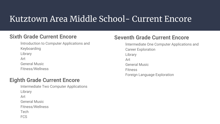## Kutztown Area Middle School- Current Encore

#### **Sixth Grade Current Encore**

Introduction to Computer Applications and Keyboarding Library Art General Music Fitness/Wellness

#### **Eighth Grade Current Encore**

Intermediate Two Computer Applications Library Art General Music Fitness/Wellness Tech FCS

#### **Seventh Grade Current Encore**

Intermediate One Computer Applications and Career Exploration Library Art General Music Fitness Foreign Language Exploration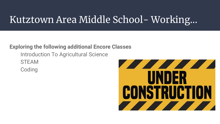# Kutztown Area Middle School- Working...

#### **Exploring the following additional Encore Classes**

Introduction To Agricultural Science **STEAM** Coding